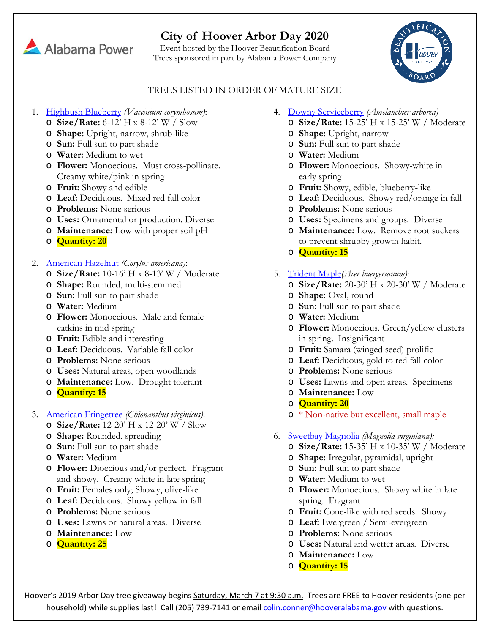# **City of Hoover Arbor Day 2020**

Event hosted by the Hoover Beautification Board Trees sponsored in part by Alabama Power Company



#### TREES LISTED IN ORDER OF MATURE SIZE

- 1. [Highbush Blueberry](http://www.missouribotanicalgarden.org/PlantFinder/PlantFinderDetails.aspx?taxonid=279992&isprofile=1&basic=vaccinium%20corymbosum) *(Vaccinium corymbosum)*:
	- o **Size/Rate:** 6-12' H x 8-12' W / Slow
	- o **Shape:** Upright, narrow, shrub-like
	- o **Sun:** Full sun to part shade
	- o **Water:** Medium to wet
	- o **Flower:** Monoecious. Must cross-pollinate. Creamy white/pink in spring
	- o **Fruit:** Showy and edible
	- o **Leaf:** Deciduous. Mixed red fall color
	- o **Problems:** None serious
	- o **Uses:** Ornamental or production. Diverse
	- o **Maintenance:** Low with proper soil pH
	- o **Quantity: 20**
- 2. [American Hazelnut](http://www.missouribotanicalgarden.org/PlantFinder/PlantFinderDetails.aspx?kempercode=c350) *(Corylus americana)*:
	- o **Size/Rate:** 10-16' H x 8-13' W / Moderate
	- o **Shape:** Rounded, multi-stemmed
	- o **Sun:** Full sun to part shade
	- o **Water:** Medium
	- o **Flower:** Monoecious. Male and female catkins in mid spring
	- o **Fruit:** Edible and interesting
	- o **Leaf:** Deciduous. Variable fall color
	- o **Problems:** None serious
	- o **Uses:** Natural areas, open woodlands
	- o **Maintenance:** Low. Drought tolerant
	- o **Quantity: 15**
- 3. [American Fringetree](http://www.missouribotanicalgarden.org/PlantFinder/PlantFinderDetails.aspx?kempercode=c120) *(Chionanthus virginicus)*:
	- o **Size/Rate:** 12-20' H x 12-20' W / Slow
	- o **Shape:** Rounded, spreading
	- o **Sun:** Full sun to part shade
	- o **Water:** Medium
	- o **Flower:** Dioecious and/or perfect. Fragrant and showy. Creamy white in late spring
	- o **Fruit:** Females only; Showy, olive-like
	- o **Leaf:** Deciduous. Showy yellow in fall
	- o **Problems:** None serious
	- o **Uses:** Lawns or natural areas. Diverse
	- o **Maintenance:** Low
	- o **Quantity: 25**
- 4. [Downy Serviceberry](http://www.missouribotanicalgarden.org/PlantFinder/PlantFinderDetails.aspx?taxonid=286375&isprofile=1&basic=amelanchier%20arborea) *(Amelanchier arborea)*
	- o **Size/Rate:** 15-25' H x 15-25' W / Moderate
	- o **Shape:** Upright, narrow
	- o **Sun:** Full sun to part shade
	- o **Water:** Medium
	- o **Flower:** Monoecious. Showy-white in early spring
	- o **Fruit:** Showy, edible, blueberry-like
	- o **Leaf:** Deciduous. Showy red/orange in fall
	- o **Problems:** None serious
	- o **Uses:** Specimens and groups. Diverse
	- o **Maintenance:** Low. Remove root suckers to prevent shrubby growth habit.
	- o **Quantity: 15**
- 5. [Trident Maple](http://www.missouribotanicalgarden.org/PlantFinder/PlantFinderDetails.aspx?taxonid=275405&isprofile=1&basic=acer%20buergerianum)*(Acer buergerianum)*:
	- o **Size/Rate:** 20-30' H x 20-30' W / Moderate
	- o **Shape:** Oval, round
	- o **Sun:** Full sun to part shade
	- o **Water:** Medium
	- o **Flower:** Monoecious. Green/yellow clusters in spring. Insignificant
	- o **Fruit:** Samara (winged seed) prolific
	- o **Leaf:** Deciduous, gold to red fall color
	- o **Problems:** None serious
	- o **Uses:** Lawns and open areas. Specimens
	- o **Maintenance:** Low
	- o **Quantity: 20**
	- o \* Non-native but excellent, small maple
- 6. [Sweetbay Magnolia](http://www.missouribotanicalgarden.org/PlantFinder/PlantFinderDetails.aspx?taxonid=282522&isprofile=1&basic=magnolia%20virginiana) *(Magnolia virginiana):*
	- o **Size/Rate:** 15-35' H x 10-35' W / Moderate
	- o **Shape:** Irregular, pyramidal, upright
	- o **Sun:** Full sun to part shade
	- o **Water:** Medium to wet
	- o **Flower:** Monoecious. Showy white in late spring. Fragrant
	- o **Fruit:** Cone-like with red seeds. Showy
	- o **Leaf:** Evergreen / Semi-evergreen
	- o **Problems:** None serious
	- o **Uses:** Natural and wetter areas. Diverse
	- o **Maintenance:** Low
	- o **Quantity: 15**

Hoover's 2019 Arbor Day tree giveaway begins Saturday, March 7 at 9:30 a.m. Trees are FREE to Hoover residents (one per household) while supplies last! Call (205) 739-7141 or email colin.conner@hooveralabama.gov with questions.

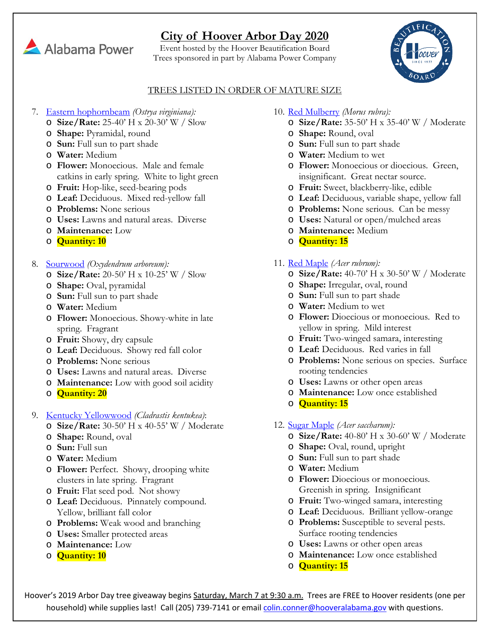# **City of Hoover Arbor Day 2020**

Event hosted by the Hoover Beautification Board Trees sponsored in part by Alabama Power Company



#### TREES LISTED IN ORDER OF MATURE SIZE

- 7. [Eastern hophornbeam](http://www.missouribotanicalgarden.org/PlantFinder/PlantFinderDetails.aspx?taxonid=277822&isprofile=1&basic=ostrya%20virginiana) *(Ostrya virginiana):*
	- o **Size/Rate:** 25-40' H x 20-30' W / Slow
	- o **Shape:** Pyramidal, round
	- o **Sun:** Full sun to part shade
	- o **Water:** Medium
	- o **Flower:** Monoecious. Male and female catkins in early spring. White to light green
	- o **Fruit:** Hop-like, seed-bearing pods
	- o **Leaf:** Deciduous. Mixed red-yellow fall
	- o **Problems:** None serious
	- o **Uses:** Lawns and natural areas. Diverse
	- o **Maintenance:** Low
	- o **Quantity: 10**
- 8. [Sourwood](http://www.missouribotanicalgarden.org/PlantFinder/PlantFinderDetails.aspx?taxonid=279971&isprofile=1&basic=sourwood) *(Oxydendrum arboreum):*
	- o **Size/Rate:** 20-50' H x 10-25' W / Slow
	- o **Shape:** Oval, pyramidal
	- o **Sun:** Full sun to part shade
	- o **Water:** Medium
	- o **Flower:** Monoecious. Showy-white in late spring. Fragrant
	- o **Fruit:** Showy, dry capsule
	- o **Leaf:** Deciduous. Showy red fall color
	- o **Problems:** None serious
	- o **Uses:** Lawns and natural areas. Diverse
	- o **Maintenance:** Low with good soil acidity
	- o **Quantity: 20**
- 9. [Kentucky Yellowwood](http://www.missouribotanicalgarden.org/PlantFinder/PlantFinderDetails.aspx?kempercode=a270) *(Cladrastis kentukea)*:
	- o **Size/Rate:** 30-50' H x 40-55' W / Moderate
	- o **Shape:** Round, oval
	- o **Sun:** Full sun
	- o **Water:** Medium
	- o **Flower:** Perfect. Showy, drooping white clusters in late spring. Fragrant
	- o **Fruit:** Flat seed pod. Not showy
	- o **Leaf:** Deciduous. Pinnately compound. Yellow, brilliant fall color
	- o **Problems:** Weak wood and branching
	- o **Uses:** Smaller protected areas
	- o **Maintenance:** Low
	- o **Quantity: 10**
- 10. [Red Mulberry](http://www.missouribotanicalgarden.org/PlantFinder/PlantFinderDetails.aspx?taxonid=282738&isprofile=1&basic=morus%20rubra) *(Morus rubra):*
	- o **Size/Rate:** 35-50' H x 35-40' W / Moderate
	- o **Shape:** Round, oval
	- o **Sun:** Full sun to part shade
	- o **Water:** Medium to wet
	- o **Flower:** Monoecious or dioecious. Green, insignificant. Great nectar source.
	- o **Fruit:** Sweet, blackberry-like, edible
	- o **Leaf:** Deciduous, variable shape, yellow fall
	- o **Problems:** None serious. Can be messy
	- o **Uses:** Natural or open/mulched areas
	- o **Maintenance:** Medium
	- o **Quantity: 15**
- 11. [Red Maple](http://www.missouribotanicalgarden.org/PlantFinder/PlantFinderDetails.aspx?taxonid=275374&isprofile=1&basic=acer%20rubrum) *(Acer rubrum):*
	- o **Size/Rate:** 40-70' H x 30-50' W / Moderate
	- o **Shape:** Irregular, oval, round
	- o **Sun:** Full sun to part shade
	- o **Water:** Medium to wet
	- o **Flower:** Dioecious or monoecious. Red to yellow in spring. Mild interest
	- o **Fruit:** Two-winged samara, interesting
	- o **Leaf:** Deciduous. Red varies in fall
	- o **Problems:** None serious on species. Surface rooting tendencies
	- o **Uses:** Lawns or other open areas
	- o **Maintenance:** Low once established
	- o **Quantity: 15**
- 12. [Sugar Maple](http://www.missouribotanicalgarden.org/PlantFinder/PlantFinderDetails.aspx?kempercode=h240) *(Acer saccharum):*
	- o **Size/Rate:** 40-80' H x 30-60' W / Moderate
	- o **Shape:** Oval, round, upright
	- o **Sun:** Full sun to part shade
	- o **Water:** Medium
	- o **Flower:** Dioecious or monoecious. Greenish in spring. Insignificant
	- o **Fruit:** Two-winged samara, interesting
	- o **Leaf:** Deciduous. Brilliant yellow-orange
	- o **Problems:** Susceptible to several pests. Surface rooting tendencies
	- o **Uses:** Lawns or other open areas
	- o **Maintenance:** Low once established
	- o **Quantity: 15**

Hoover's 2019 Arbor Day tree giveaway begins Saturday, March 7 at 9:30 a.m. Trees are FREE to Hoover residents (one per household) while supplies last! Call (205) 739-7141 or email colin.conner@hooveralabama.gov with questions.

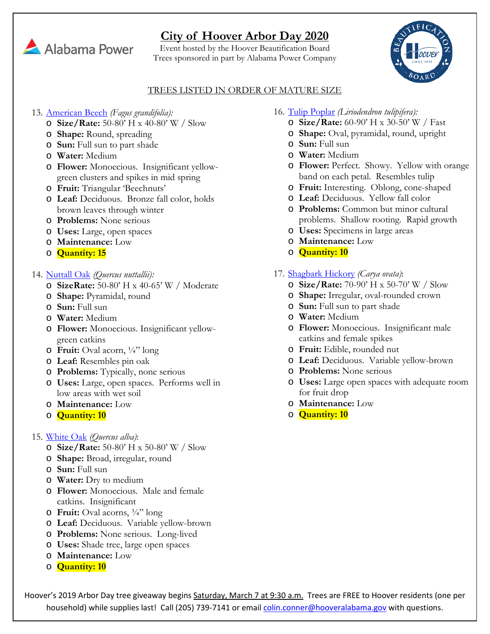# **City of Hoover Arbor Day 2020**

Event hosted by the Hoover Beautification Board Trees sponsored in part by Alabama Power Company



### TREES LISTED IN ORDER OF MATURE SIZE

- 13. [American Beech](http://www.missouribotanicalgarden.org/PlantFinder/PlantFinderDetails.aspx?taxonid=280709&isprofile=1&basic=fagus%20grandifolia) *(Fagus grandifolia):*
	- o **Size/Rate:** 50-80' H x 40-80' W / Slow
	- o **Shape:** Round, spreading
	- o **Sun:** Full sun to part shade
	- o **Water:** Medium
	- o **Flower:** Monoecious. Insignificant yellowgreen clusters and spikes in mid spring
	- o **Fruit:** Triangular 'Beechnuts'
	- o **Leaf:** Deciduous. Bronze fall color, holds brown leaves through winter
	- o **Problems:** None serious
	- o **Uses:** Large, open spaces
	- o **Maintenance:** Low
	- o **Quantity: 15**
- 14. [Nuttall Oak](http://www.missouribotanicalgarden.org/PlantFinder/PlantFinderDetails.aspx?taxonid=280756&isprofile=1&basic=quercus%20texana) *(Quercus nuttallii):*
	- o **SizeRate:** 50-80' H x 40-65' W / Moderate
	- o **Shape:** Pyramidal, round
	- o **Sun:** Full sun
	- o **Water:** Medium
	- o **Flower:** Monoecious. Insignificant yellowgreen catkins
	- o **Fruit:** Oval acorn, ¼" long
	- o **Leaf:** Resembles pin oak
	- o **Problems:** Typically, none serious
	- o **Uses:** Large, open spaces. Performs well in low areas with wet soil
	- o **Maintenance:** Low
	- o **Quantity: 10**
- 15. [White Oak](http://www.missouribotanicalgarden.org/PlantFinder/PlantFinderDetails.aspx?taxonid=280711&isprofile=1&basic=quercus%20alba) *(Quercus alba)*:
	- o **Size/Rate:** 50-80' H x 50-80' W / Slow
	- o **Shape:** Broad, irregular, round
	- o **Sun:** Full sun
	- o **Water:** Dry to medium
	- o **Flower:** Monoecious. Male and female catkins. Insignificant
	- o **Fruit:** Oval acorns, ¾" long
	- o **Leaf:** Deciduous. Variable yellow-brown
	- o **Problems:** None serious. Long-lived
	- o **Uses:** Shade tree, large open spaces
	- o **Maintenance:** Low
	- o **Quantity: 10**
- 16. [Tulip Poplar](http://www.missouribotanicalgarden.org/PlantFinder/PlantFinderDetails.aspx?taxonid=282514&isprofile=1&basic=liriodendron%20tulipifera) *(Liriodendron tulipifera):*
	- o **Size/Rate:** 60-90' H x 30-50' W / Fast
	- o **Shape:** Oval, pyramidal, round, upright
	- o **Sun:** Full sun
	- o **Water:** Medium
	- o **Flower:** Perfect. Showy. Yellow with orange band on each petal. Resembles tulip
	- o **Fruit:** Interesting. Oblong, cone-shaped
	- o **Leaf:** Deciduous. Yellow fall color
	- o **Problems:** Common but minor cultural problems. Shallow rooting. Rapid growth
	- o **Uses:** Specimens in large areas
	- o **Maintenance:** Low
	- o **Quantity: 10**
- 17. [Shagbark Hickory](http://www.missouribotanicalgarden.org/PlantFinder/PlantFinderDetails.aspx?taxonid=281355&isprofile=1&basic=carya%20ovata) *(Carya ovata)*:
	- o **Size/Rate:** 70-90' H x 50-70' W / Slow
	- o **Shape:** Irregular, oval-rounded crown
	- o **Sun:** Full sun to part shade
	- o **Water:** Medium
	- o **Flower:** Monoecious. Insignificant male catkins and female spikes
	- o **Fruit:** Edible, rounded nut
	- o **Leaf:** Deciduous. Variable yellow-brown
	- o **Problems:** None serious
	- o **Uses:** Large open spaces with adequate room for fruit drop
	- o **Maintenance:** Low
	- o **Quantity: 10**

Hoover's 2019 Arbor Day tree giveaway begins Saturday, March 7 at 9:30 a.m. Trees are FREE to Hoover residents (one per household) while supplies last! Call (205) 739-7141 or email colin.conner@hooveralabama.gov with questions.